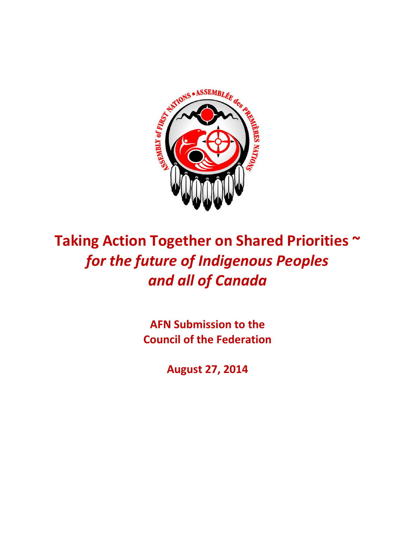

# Taking Action Together on Shared Priorities ~ for the future of Indigenous Peoples *and\$all\$of\$Canada*

**AFN Submission to the Council of the Federation** 

**August!27,!2014**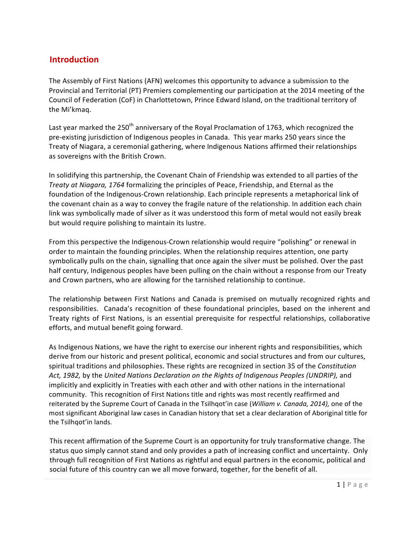## **Introduction**

The Assembly of First Nations (AFN) welcomes this opportunity to advance a submission to the Provincial and Territorial (PT) Premiers complementing our participation at the 2014 meeting of the Council of Federation (CoF) in Charlottetown, Prince Edward Island, on the traditional territory of the Mi'kmaq.

Last year marked the 250<sup>th</sup> anniversary of the Royal Proclamation of 1763, which recognized the pre-existing jurisdiction of Indigenous peoples in Canada. This year marks 250 years since the Treaty of Niagara, a ceremonial gathering, where Indigenous Nations affirmed their relationships as sovereigns with the British Crown.

In solidifying this partnership, the Covenant Chain of Friendship was extended to all parties of the *Treaty at Niagara, 1764* formalizing the principles of Peace, Friendship, and Eternal as the foundation of the Indigenous-Crown relationship. Each principle represents a metaphorical link of the covenant chain as a way to convey the fragile nature of the relationship. In addition each chain link was symbolically made of silver as it was understood this form of metal would not easily break but would require polishing to maintain its lustre.

From this perspective the Indigenous-Crown relationship would require "polishing" or renewal in order to maintain the founding principles. When the relationship requires attention, one party symbolically pulls on the chain, signalling that once again the silver must be polished. Over the past half century, Indigenous peoples have been pulling on the chain without a response from our Treaty and Crown partners, who are allowing for the tarnished relationship to continue.

The relationship between First Nations and Canada is premised on mutually recognized rights and responsibilities. Canada's recognition of these foundational principles, based on the inherent and Treaty rights of First Nations, is an essential prerequisite for respectful relationships, collaborative efforts, and mutual benefit going forward.

As Indigenous Nations, we have the right to exercise our inherent rights and responsibilities, which derive from our historic and present political, economic and social structures and from our cultures, spiritual traditions and philosophies. These rights are recognized in section 35 of the *Constitution* Act, 1982, by the United Nations Declaration on the Rights of Indigenous Peoples (UNDRIP), and implicitly and explicitly in Treaties with each other and with other nations in the international community. This recognition of First Nations title and rights was most recently reaffirmed and reiterated by the Supreme Court of Canada in the Tsilhqot'in case (*William v. Canada, 2014),* one of the most significant Aboriginal law cases in Canadian history that set a clear declaration of Aboriginal title for the Tsilhqot'in lands.

This recent affirmation of the Supreme Court is an opportunity for truly transformative change. The status quo simply cannot stand and only provides a path of increasing conflict and uncertainty. Only through full recognition of First Nations as rightful and equal partners in the economic, political and social future of this country can we all move forward, together, for the benefit of all.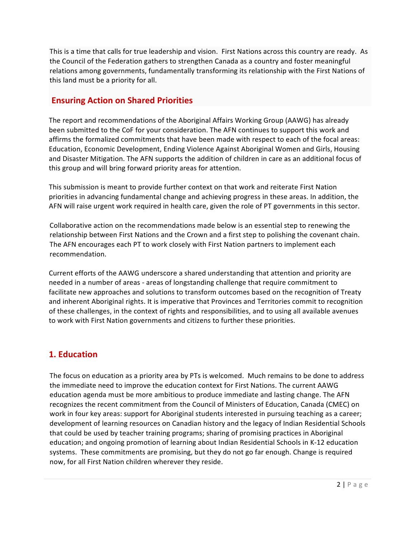This is a time that calls for true leadership and vision. First Nations across this country are ready. As the Council of the Federation gathers to strengthen Canada as a country and foster meaningful relations among governments, fundamentally transforming its relationship with the First Nations of this land must be a priority for all.

# **Ensuring Action on Shared Priorities**

The report and recommendations of the Aboriginal Affairs Working Group (AAWG) has already been submitted to the CoF for your consideration. The AFN continues to support this work and affirms the formalized commitments that have been made with respect to each of the focal areas: Education, Economic Development, Ending Violence Against Aboriginal Women and Girls, Housing and Disaster Mitigation. The AFN supports the addition of children in care as an additional focus of this group and will bring forward priority areas for attention.

This submission is meant to provide further context on that work and reiterate First Nation priorities in advancing fundamental change and achieving progress in these areas. In addition, the AFN will raise urgent work required in health care, given the role of PT governments in this sector.

Collaborative action on the recommendations made below is an essential step to renewing the relationship between First Nations and the Crown and a first step to polishing the covenant chain. The AFN encourages each PT to work closely with First Nation partners to implement each recommendation.

Current efforts of the AAWG underscore a shared understanding that attention and priority are needed in a number of areas - areas of longstanding challenge that require commitment to facilitate new approaches and solutions to transform outcomes based on the recognition of Treaty and inherent Aboriginal rights. It is imperative that Provinces and Territories commit to recognition of these challenges, in the context of rights and responsibilities, and to using all available avenues" to work with First Nation governments and citizens to further these priorities.

## **1. Education**

The focus on education as a priority area by PTs is welcomed. Much remains to be done to address the immediate need to improve the education context for First Nations. The current AAWG education agenda must be more ambitious to produce immediate and lasting change. The AFN recognizes the recent commitment from the Council of Ministers of Education, Canada (CMEC) on work in four key areas: support for Aboriginal students interested in pursuing teaching as a career; development of learning resources on Canadian history and the legacy of Indian Residential Schools that could be used by teacher training programs; sharing of promising practices in Aboriginal education; and ongoing promotion of learning about Indian Residential Schools in K-12 education systems. These commitments are promising, but they do not go far enough. Change is required now, for all First Nation children wherever they reside.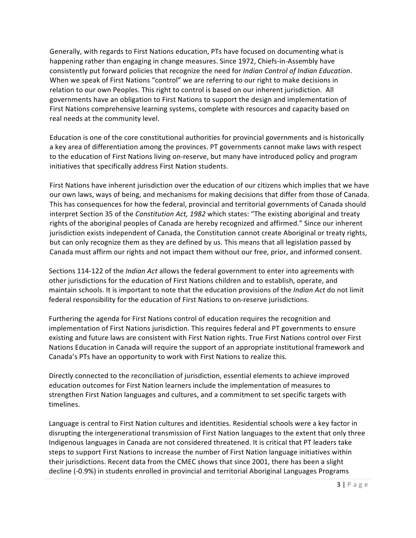Generally, with regards to First Nations education, PTs have focused on documenting what is happening rather than engaging in change measures. Since 1972, Chiefs-in-Assembly have consistently put forward policies that recognize the need for *Indian Control of Indian Education*. When we speak of First Nations "control" we are referring to our right to make decisions in relation to our own Peoples. This right to control is based on our inherent jurisdiction. All governments have an obligation to First Nations to support the design and implementation of First Nations comprehensive learning systems, complete with resources and capacity based on real needs at the community level.

Education is one of the core constitutional authorities for provincial governments and is historically a key area of differentiation among the provinces. PT governments cannot make laws with respect to the education of First Nations living on-reserve, but many have introduced policy and program initiatives that specifically address First Nation students.

First Nations have inherent jurisdiction over the education of our citizens which implies that we have our own laws, ways of being, and mechanisms for making decisions that differ from those of Canada. This has consequences for how the federal, provincial and territorial governments of Canada should interpret Section 35 of the *Constitution Act, 1982* which states: "The existing aboriginal and treaty" rights of the aboriginal peoples of Canada are hereby recognized and affirmed." Since our inherent jurisdiction exists independent of Canada, the Constitution cannot create Aboriginal or treaty rights, but can only recognize them as they are defined by us. This means that all legislation passed by Canada must affirm our rights and not impact them without our free, prior, and informed consent.

Sections 114-122 of the *Indian Act* allows the federal government to enter into agreements with other jurisdictions for the education of First Nations children and to establish, operate, and maintain schools. It is important to note that the education provisions of the *Indian Act* do not limit federal responsibility for the education of First Nations to on-reserve jurisdictions.

Furthering the agenda for First Nations control of education requires the recognition and implementation of First Nations jurisdiction. This requires federal and PT governments to ensure existing and future laws are consistent with First Nation rights. True First Nations control over First Nations Education in Canada will require the support of an appropriate institutional framework and Canada's PTs have an opportunity to work with First Nations to realize this.

Directly connected to the reconciliation of jurisdiction, essential elements to achieve improved education outcomes for First Nation learners include the implementation of measures to strengthen First Nation languages and cultures, and a commitment to set specific targets with timelines.

Language is central to First Nation cultures and identities. Residential schools were a key factor in disrupting the intergenerational transmission of First Nation languages to the extent that only three Indigenous languages in Canada are not considered threatened. It is critical that PT leaders take steps to support First Nations to increase the number of First Nation language initiatives within their jurisdictions. Recent data from the CMEC shows that since 2001, there has been a slight decline (-0.9%) in students enrolled in provincial and territorial Aboriginal Languages Programs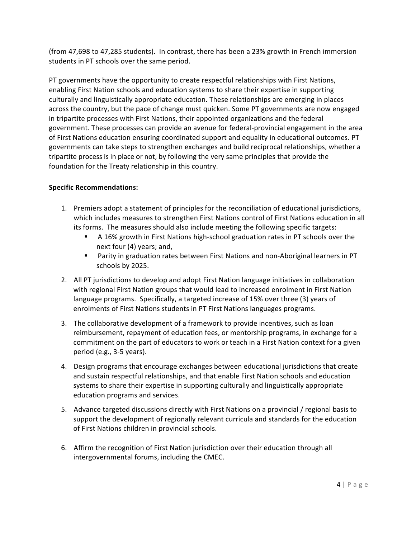(from 47,698 to 47,285 students). In contrast, there has been a 23% growth in French immersion students in PT schools over the same period.

PT governments have the opportunity to create respectful relationships with First Nations, enabling First Nation schools and education systems to share their expertise in supporting culturally and linguistically appropriate education. These relationships are emerging in places across the country, but the pace of change must quicken. Some PT governments are now engaged in tripartite processes with First Nations, their appointed organizations and the federal government. These processes can provide an avenue for federal-provincial engagement in the area of First Nations education ensuring coordinated support and equality in educational outcomes. PT governments can take steps to strengthen exchanges and build reciprocal relationships, whether a tripartite process is in place or not, by following the very same principles that provide the foundation for the Treaty relationship in this country.

- 1. Premiers adopt a statement of principles for the reconciliation of educational jurisdictions, which includes measures to strengthen First Nations control of First Nations education in all its forms. The measures should also include meeting the following specific targets:
	- A 16% growth in First Nations high-school graduation rates in PT schools over the next four (4) years; and,
	- " Parity in graduation rates between First Nations and non-Aboriginal learners in PT schools by 2025.
- 2. All PT jurisdictions to develop and adopt First Nation language initiatives in collaboration with regional First Nation groups that would lead to increased enrolment in First Nation language programs. Specifically, a targeted increase of 15% over three (3) years of enrolments of First Nations students in PT First Nations languages programs.
- 3. The collaborative development of a framework to provide incentives, such as loan reimbursement, repayment of education fees, or mentorship programs, in exchange for a commitment on the part of educators to work or teach in a First Nation context for a given period (e.g.,  $3-5$  years).
- 4. Design programs that encourage exchanges between educational jurisdictions that create and sustain respectful relationships, and that enable First Nation schools and education systems to share their expertise in supporting culturally and linguistically appropriate education programs and services.
- 5. Advance targeted discussions directly with First Nations on a provincial / regional basis to support the development of regionally relevant curricula and standards for the education of First Nations children in provincial schools.
- 6. Affirm the recognition of First Nation jurisdiction over their education through all intergovernmental forums, including the CMEC.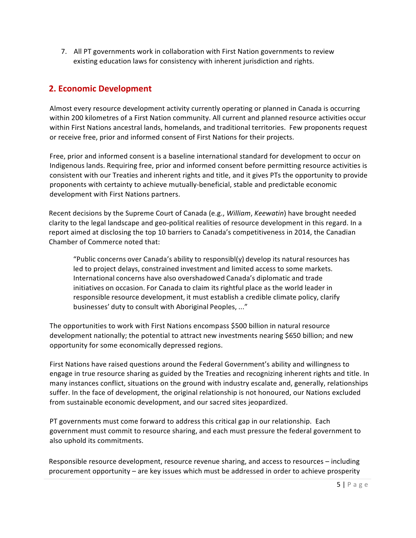7. All PT governments work in collaboration with First Nation governments to review existing education laws for consistency with inherent jurisdiction and rights.

## **2. Economic Development**

Almost every resource development activity currently operating or planned in Canada is occurring within 200 kilometres of a First Nation community. All current and planned resource activities occur within First Nations ancestral lands, homelands, and traditional territories. Few proponents request or receive free, prior and informed consent of First Nations for their projects.

Free, prior and informed consent is a baseline international standard for development to occur on Indigenous lands. Requiring free, prior and informed consent before permitting resource activities is consistent with our Treaties and inherent rights and title, and it gives PTs the opportunity to provide proponents with certainty to achieve mutually-beneficial, stable and predictable economic development with First Nations partners.

Recent decisions by the Supreme Court of Canada (e.g., *William, Keewatin*) have brought needed clarity to the legal landscape and geo-political realities of resource development in this regard. In a report aimed at disclosing the top 10 barriers to Canada's competitiveness in 2014, the Canadian Chamber of Commerce noted that:

"Public concerns over Canada's ability to responsibl(y) develop its natural resources has led to project delays, constrained investment and limited access to some markets. International concerns have also overshadowed Canada's diplomatic and trade initiatives on occasion. For Canada to claim its rightful place as the world leader in responsible resource development, it must establish a credible climate policy, clarify businesses' duty to consult with Aboriginal Peoples, ..."

The opportunities to work with First Nations encompass \$500 billion in natural resource development nationally; the potential to attract new investments nearing \$650 billion; and new opportunity for some economically depressed regions.

First Nations have raised questions around the Federal Government's ability and willingness to engage in true resource sharing as guided by the Treaties and recognizing inherent rights and title. In many instances conflict, situations on the ground with industry escalate and, generally, relationships suffer. In the face of development, the original relationship is not honoured, our Nations excluded from sustainable economic development, and our sacred sites jeopardized.

PT governments must come forward to address this critical gap in our relationship. Each government must commit to resource sharing, and each must pressure the federal government to also uphold its commitments.

Responsible resource development, resource revenue sharing, and access to resources – including procurement opportunity – are key issues which must be addressed in order to achieve prosperity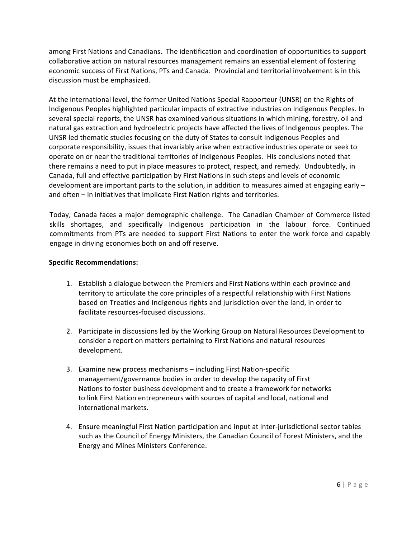among First Nations and Canadians. The identification and coordination of opportunities to support collaborative action on natural resources management remains an essential element of fostering economic success of First Nations, PTs and Canada. Provincial and territorial involvement is in this discussion must be emphasized.

At the international level, the former United Nations Special Rapporteur (UNSR) on the Rights of Indigenous Peoples highlighted particular impacts of extractive industries on Indigenous Peoples. In several special reports, the UNSR has examined various situations in which mining, forestry, oil and natural gas extraction and hydroelectric projects have affected the lives of Indigenous peoples. The UNSR led thematic studies focusing on the duty of States to consult Indigenous Peoples and corporate responsibility, issues that invariably arise when extractive industries operate or seek to operate on or near the traditional territories of Indigenous Peoples. His conclusions noted that there remains a need to put in place measures to protect, respect, and remedy. Undoubtedly, in Canada, full and effective participation by First Nations in such steps and levels of economic development are important parts to the solution, in addition to measures aimed at engaging early  $$ and often  $-$  in initiatives that implicate First Nation rights and territories.

Today, Canada faces a major demographic challenge. The Canadian Chamber of Commerce listed skills shortages, and specifically Indigenous participation in the labour force. Continued commitments from PTs are needed to support First Nations to enter the work force and capably engage in driving economies both on and off reserve.

- 1. Establish a dialogue between the Premiers and First Nations within each province and territory to articulate the core principles of a respectful relationship with First Nations based on Treaties and Indigenous rights and jurisdiction over the land, in order to facilitate resources-focused discussions.
- 2. Participate in discussions led by the Working Group on Natural Resources Development to consider a report on matters pertaining to First Nations and natural resources development.
- 3. Examine new process mechanisms including First Nation-specific management/governance bodies in order to develop the capacity of First Nations to foster business development and to create a framework for networks to link First Nation entrepreneurs with sources of capital and local, national and international markets.
- 4. Ensure meaningful First Nation participation and input at inter-jurisdictional sector tables such as the Council of Energy Ministers, the Canadian Council of Forest Ministers, and the Energy"and"Mines Ministers Conference.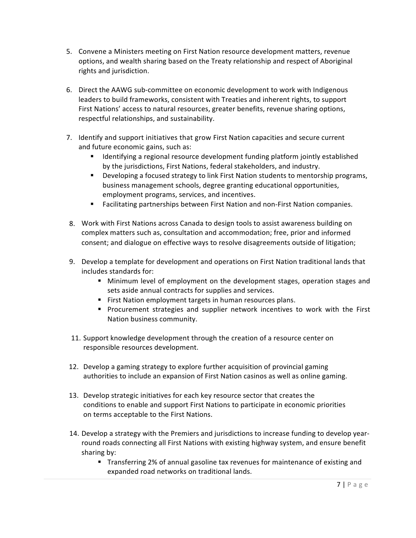- 5. Convene a Ministers meeting on First Nation resource development matters, revenue options, and wealth sharing based on the Treaty relationship and respect of Aboriginal rights and jurisdiction.
- 6. Direct the AAWG sub-committee on economic development to work with Indigenous leaders to build frameworks, consistent with Treaties and inherent rights, to support First Nations' access to natural resources, greater benefits, revenue sharing options, respectful relationships, and sustainability.
- 7. Identify and support initiatives that grow First Nation capacities and secure current and future economic gains, such as:
	- Identifying a regional resource development funding platform jointly established by the jurisdictions, First Nations, federal stakeholders, and industry.
	- " Developing a focused strategy to link First Nation students to mentorship programs, business management schools, degree granting educational opportunities, employment programs, services, and incentives.
	- " Facilitating partnerships between First Nation and non-First Nation companies.
- 8. Work with First Nations across Canada to design tools to assist awareness building on complex matters such as, consultation and accommodation; free, prior and informed consent; and dialogue on effective ways to resolve disagreements outside of litigation;
- 9. Develop a template for development and operations on First Nation traditional lands that includes standards for:
	- . Minimum level of employment on the development stages, operation stages and sets aside annual contracts for supplies and services.
	- " First Nation employment targets in human resources plans.
	- " Procurement strategies and supplier network incentives to work with the First Nation business community.
- 11. Support knowledge development through the creation of a resource center on responsible resources development.
- 12. Develop a gaming strategy to explore further acquisition of provincial gaming authorities to include an expansion of First Nation casinos as well as online gaming.
- 13. Develop strategic initiatives for each key resource sector that creates the conditions to enable and support First Nations to participate in economic priorities on terms acceptable to the First Nations.
- 14. Develop a strategy with the Premiers and jurisdictions to increase funding to develop yearround roads connecting all First Nations with existing highway system, and ensure benefit sharing by:
	- " Transferring 2% of annual gasoline tax revenues for maintenance of existing and expanded road networks on traditional lands.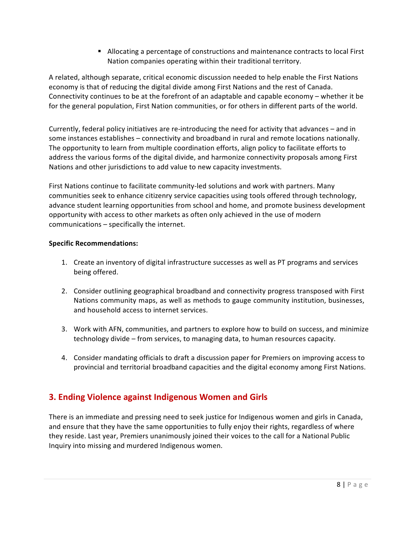" Allocating a percentage of constructions and maintenance contracts to local First Nation companies operating within their traditional territory.

A related, although separate, critical economic discussion needed to help enable the First Nations economy is that of reducing the digital divide among First Nations and the rest of Canada. Connectivity continues to be at the forefront of an adaptable and capable economy – whether it be for the general population, First Nation communities, or for others in different parts of the world.

Currently, federal policy initiatives are re-introducing the need for activity that advances – and in some instances establishes – connectivity and broadband in rural and remote locations nationally. The opportunity to learn from multiple coordination efforts, align policy to facilitate efforts to address the various forms of the digital divide, and harmonize connectivity proposals among First Nations and other jurisdictions to add value to new capacity investments.

First Nations continue to facilitate community-led solutions and work with partners. Many communities seek to enhance citizenry service capacities using tools offered through technology, advance student learning opportunities from school and home, and promote business development opportunity with access to other markets as often only achieved in the use of modern  $commu$ nications – specifically the internet.

#### **Specific Recommendations:**

- 1. Create an inventory of digital infrastructure successes as well as PT programs and services being offered.
- 2. Consider outlining geographical broadband and connectivity progress transposed with First Nations community maps, as well as methods to gauge community institution, businesses, and household access to internet services.
- 3. Work with AFN, communities, and partners to explore how to build on success, and minimize technology divide – from services, to managing data, to human resources capacity.
- 4. Consider mandating officials to draft a discussion paper for Premiers on improving access to provincial and territorial broadband capacities and the digital economy among First Nations.

# **3. Ending Violence against Indigenous Women and Girls**

There is an immediate and pressing need to seek justice for Indigenous women and girls in Canada, and ensure that they have the same opportunities to fully enjoy their rights, regardless of where they reside. Last year, Premiers unanimously joined their voices to the call for a National Public Inquiry into missing and murdered Indigenous women.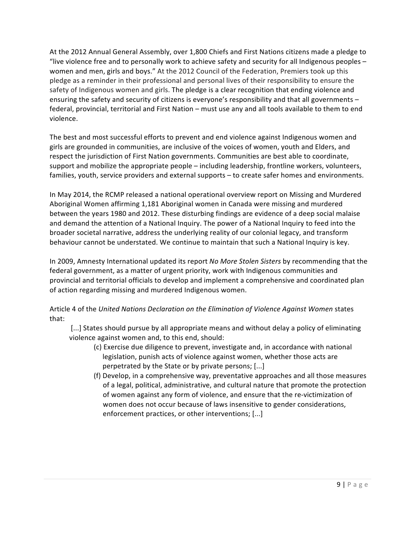At the 2012 Annual General Assembly, over 1,800 Chiefs and First Nations citizens made a pledge to "live violence free and to personally work to achieve safety and security for all Indigenous peoples – women and men, girls and boys." At the 2012 Council of the Federation, Premiers took up this pledge as a reminder in their professional and personal lives of their responsibility to ensure the safety of Indigenous women and girls. The pledge is a clear recognition that ending violence and ensuring the safety and security of citizens is everyone's responsibility and that all governments – federal, provincial, territorial and First Nation – must use any and all tools available to them to end violence.

The best and most successful efforts to prevent and end violence against Indigenous women and girls are grounded in communities, are inclusive of the voices of women, youth and Elders, and respect the jurisdiction of First Nation governments. Communities are best able to coordinate, support and mobilize the appropriate people – including leadership, frontline workers, volunteers, families, youth, service providers and external supports – to create safer homes and environments.

In May 2014, the RCMP released a national operational overview report on Missing and Murdered Aboriginal Women affirming 1,181 Aboriginal women in Canada were missing and murdered between the years 1980 and 2012. These disturbing findings are evidence of a deep social malaise and demand the attention of a National Inquiry. The power of a National Inquiry to feed into the broader societal narrative, address the underlying reality of our colonial legacy, and transform behaviour cannot be understated. We continue to maintain that such a National Inquiry is key.

In 2009, Amnesty International updated its report No More Stolen Sisters by recommending that the federal government, as a matter of urgent priority, work with Indigenous communities and provincial and territorial officials to develop and implement a comprehensive and coordinated plan of action regarding missing and murdered Indigenous women.

Article 4 of the United Nations Declaration on the Elimination of Violence Against Women states that:

[...] States should pursue by all appropriate means and without delay a policy of eliminating violence against women and, to this end, should:

- (c) Exercise due diligence to prevent, investigate and, in accordance with national legislation, punish acts of violence against women, whether those acts are perpetrated by the State or by private persons; [...]
- (f) Develop, in a comprehensive way, preventative approaches and all those measures of a legal, political, administrative, and cultural nature that promote the protection of women against any form of violence, and ensure that the re-victimization of women does not occur because of laws insensitive to gender considerations, enforcement practices, or other interventions; [...]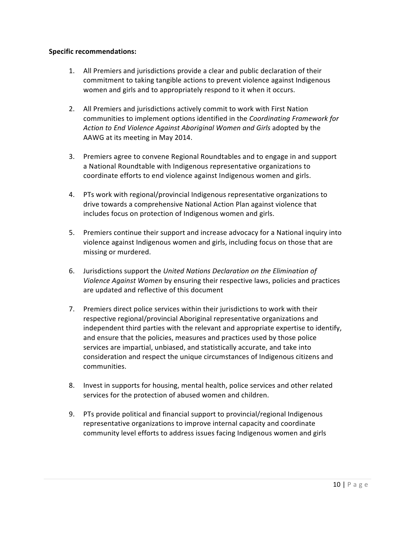- 1. All Premiers and jurisdictions provide a clear and public declaration of their commitment to taking tangible actions to prevent violence against Indigenous women and girls and to appropriately respond to it when it occurs.
- 2. All Premiers and jurisdictions actively commit to work with First Nation communities to"implement"options identified"in"the *Coordinating Framework for Action"to End Violence"Against"Aboriginal"Women and Girls* adopted"by"the AAWG at its meeting in May 2014.
- 3. Premiers agree to convene Regional Roundtables and to engage in and support a National Roundtable with Indigenous representative organizations to coordinate efforts to end violence against Indigenous women and girls.
- 4. PTs work with regional/provincial Indigenous representative organizations to drive towards a comprehensive National Action Plan against violence that includes focus on protection of Indigenous women and girls.
- 5. Premiers continue their support and increase advocacy for a National inquiry into violence against Indigenous women and girls, including focus on those that are missing or murdered.
- 6. Jurisdictions support the *United Nations Declaration on the Elimination of Violence Against Women* by ensuring their respective laws, policies and practices are updated and reflective of this document
- 7. Premiers direct police services within their jurisdictions to work with their respective regional/provincial Aboriginal representative organizations and independent third parties with the relevant and appropriate expertise to identify, and ensure that the policies, measures and practices used by those police services are impartial, unbiased, and statistically accurate, and take into consideration and respect the unique circumstances of Indigenous citizens and communities.
- 8. Invest in supports for housing, mental health, police services and other related services for the protection of abused women and children.
- 9. PTs provide political and financial support to provincial/regional Indigenous representative organizations to improve internal capacity and coordinate community level efforts to address issues facing Indigenous women and girls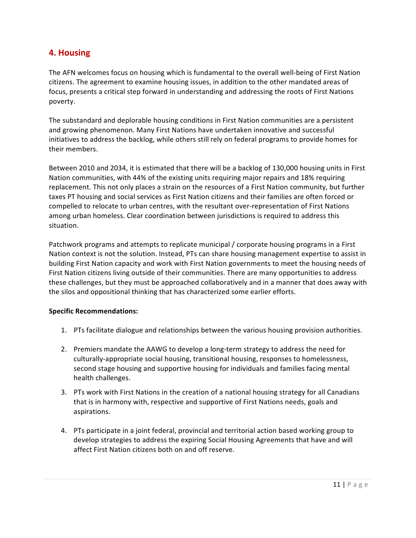## **4. Housing**

The AFN welcomes focus on housing which is fundamental to the overall well-being of First Nation citizens. The agreement to examine housing issues, in addition to the other mandated areas of focus, presents a critical step forward in understanding and addressing the roots of First Nations poverty.

The substandard and deplorable housing conditions in First Nation communities are a persistent and growing phenomenon. Many First Nations have undertaken innovative and successful initiatives to address the backlog, while others still rely on federal programs to provide homes for their members.

Between 2010 and 2034, it is estimated that there will be a backlog of 130,000 housing units in First Nation communities, with 44% of the existing units requiring major repairs and 18% requiring replacement. This not only places a strain on the resources of a First Nation community, but further taxes PT housing and social services as First Nation citizens and their families are often forced or compelled to relocate to urban centres, with the resultant over-representation of First Nations among urban homeless. Clear coordination between jurisdictions is required to address this situation.

Patchwork programs and attempts to replicate municipal / corporate housing programs in a First Nation context is not the solution. Instead, PTs can share housing management expertise to assist in building First Nation capacity and work with First Nation governments to meet the housing needs of First Nation citizens living outside of their communities. There are many opportunities to address these challenges, but they must be approached collaboratively and in a manner that does away with the silos and oppositional thinking that has characterized some earlier efforts.

- 1. PTs facilitate dialogue and relationships between the various housing provision authorities.
- 2. Premiers mandate the AAWG to develop a long-term strategy to address the need for culturally-appropriate social housing, transitional housing, responses to homelessness, second stage housing and supportive housing for individuals and families facing mental health challenges.
- 3. PTs work with First Nations in the creation of a national housing strategy for all Canadians that is in harmony with, respective and supportive of First Nations needs, goals and aspirations.
- 4. PTs participate in a joint federal, provincial and territorial action based working group to develop strategies to address the expiring Social Housing Agreements that have and will affect First Nation citizens both on and off reserve.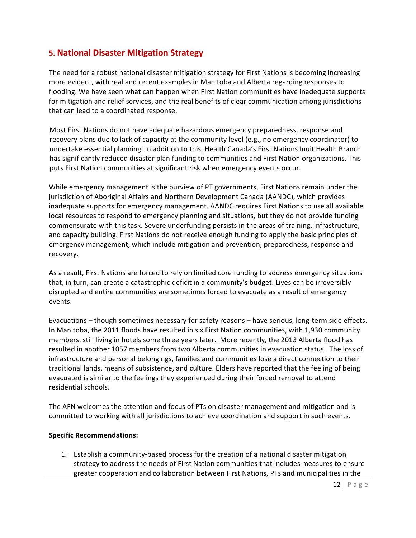## **5.!National!Disaster Mitigation!Strategy**

The need for a robust national disaster mitigation strategy for First Nations is becoming increasing more evident, with real and recent examples in Manitoba and Alberta regarding responses to flooding. We have seen what can happen when First Nation communities have inadequate supports for mitigation and relief services, and the real benefits of clear communication among jurisdictions that can lead to a coordinated response.

Most First Nations do not have adequate hazardous emergency preparedness, response and recovery plans due to lack of capacity at the community level (e.g., no emergency coordinator) to undertake essential planning. In addition to this, Health Canada's First Nations Inuit Health Branch has significantly reduced disaster plan funding to communities and First Nation organizations. This puts First Nation communities at significant risk when emergency events occur.

While emergency management is the purview of PT governments, First Nations remain under the jurisdiction of Aboriginal Affairs and Northern Development Canada (AANDC), which provides inadequate supports for emergency management. AANDC requires First Nations to use all available local resources to respond to emergency planning and situations, but they do not provide funding commensurate with this task. Severe underfunding persists in the areas of training, infrastructure, and capacity building. First Nations do not receive enough funding to apply the basic principles of emergency management, which include mitigation and prevention, preparedness, response and recovery.

As a result, First Nations are forced to rely on limited core funding to address emergency situations that, in turn, can create a catastrophic deficit in a community's budget. Lives can be irreversibly disrupted and entire communities are sometimes forced to evacuate as a result of emergency events.

Evacuations – though sometimes necessary for safety reasons – have serious, long-term side effects. In Manitoba, the 2011 floods have resulted in six First Nation communities, with 1,930 community members, still living in hotels some three years later. More recently, the 2013 Alberta flood has resulted in another 1057 members from two Alberta communities in evacuation status. The loss of infrastructure and personal belongings, families and communities lose a direct connection to their traditional lands, means of subsistence, and culture. Elders have reported that the feeling of being evacuated is similar to the feelings they experienced during their forced removal to attend residential schools.

The AFN welcomes the attention and focus of PTs on disaster management and mitigation and is committed to working with all jurisdictions to achieve coordination and support in such events.

## **Specific!Recommendations:**

1. Establish a community-based process for the creation of a national disaster mitigation strategy to address the needs of First Nation communities that includes measures to ensure greater cooperation and collaboration between First Nations, PTs and municipalities in the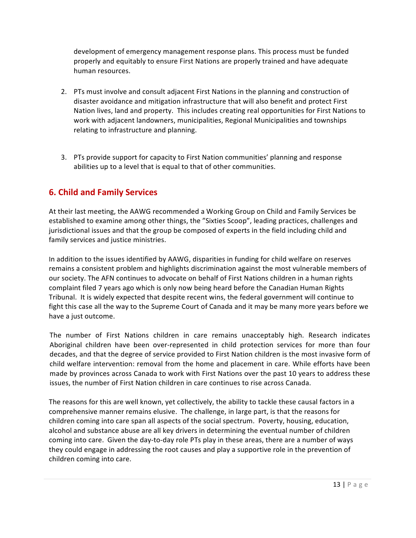development of emergency management response plans. This process must be funded properly and equitably to ensure First Nations are properly trained and have adequate human resources.

- 2. PTs must involve and consult adjacent First Nations in the planning and construction of disaster avoidance and mitigation infrastructure that will also benefit and protect First Nation lives, land and property. This includes creating real opportunities for First Nations to work with adjacent landowners, municipalities, Regional Municipalities and townships relating to infrastructure and planning.
- 3. PTs provide support for capacity to First Nation communities' planning and response abilities up to a level that is equal to that of other communities.

## **6. Child!and!Family Services**

At their last meeting, the AAWG recommended a Working Group on Child and Family Services be established to examine among other things, the "Sixties Scoop", leading practices, challenges and jurisdictional issues and that the group be composed of experts in the field including child and family services and justice ministries.

In addition to the issues identified by AAWG, disparities in funding for child welfare on reserves remains a consistent problem and highlights discrimination against the most vulnerable members of our society. The AFN continues to advocate on behalf of First Nations children in a human rights complaint filed 7 years ago which is only now being heard before the Canadian Human Rights" Tribunal. It is widely expected that despite recent wins, the federal government will continue to fight this case all the way to the Supreme Court of Canada and it may be many more years before we have a just outcome.

The number of First Nations children in care remains unacceptably high. Research indicates Aboriginal children have been over-represented in child protection services for more than four decades, and that the degree of service provided to First Nation children is the most invasive form of child welfare intervention: removal from the home and placement in care. While efforts have been made by provinces across Canada to work with First Nations over the past 10 years to address these issues, the number of First Nation children in care continues to rise across Canada.

The reasons for this are well known, yet collectively, the ability to tackle these causal factors in a comprehensive manner remains elusive. The challenge, in large part, is that the reasons for children coming into care span all aspects of the social spectrum. Poverty, housing, education, alcohol and substance abuse are all key drivers in determining the eventual number of children coming into care. Given the day-to-day role PTs play in these areas, there are a number of ways they could engage in addressing the root causes and play a supportive role in the prevention of children coming into care.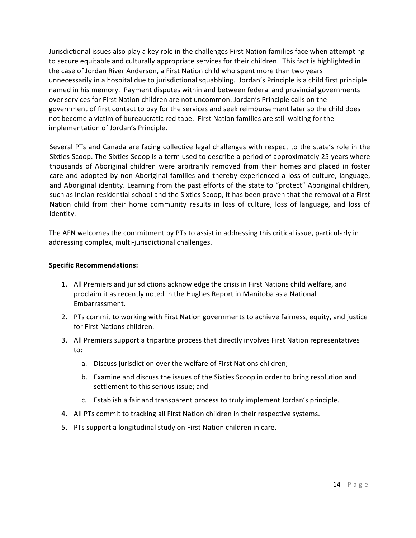Jurisdictional issues also play a key role in the challenges First Nation families face when attempting to secure equitable and culturally appropriate services for their children. This fact is highlighted in the case of Jordan River Anderson, a First Nation child who spent more than two years unnecessarily in a hospital due to jurisdictional squabbling. Jordan's Principle is a child first principle named in his memory. Payment disputes within and between federal and provincial governments over services for First Nation children are not uncommon. Jordan's Principle calls on the government of first contact to pay for the services and seek reimbursement later so the child does not become a victim of bureaucratic red tape. First Nation families are still waiting for the implementation of Jordan's Principle.

Several PTs and Canada are facing collective legal challenges with respect to the state's role in the Sixties Scoop. The Sixties Scoop is a term used to describe a period of approximately 25 years where thousands of Aboriginal children were arbitrarily removed from their homes and placed in foster care and adopted by non-Aboriginal families and thereby experienced a loss of culture, language, and Aboriginal identity. Learning from the past efforts of the state to "protect" Aboriginal children, such as Indian residential school and the Sixties Scoop, it has been proven that the removal of a First Nation child from their home community results in loss of culture, loss of language, and loss of identity.

The AFN welcomes the commitment by PTs to assist in addressing this critical issue, particularly in addressing complex, multi-jurisdictional challenges.

- 1. All Premiers and jurisdictions acknowledge the crisis in First Nations child welfare, and proclaim it as recently noted in the Hughes Report in Manitoba as a National Embarrassment.
- 2. PTs commit to working with First Nation governments to achieve fairness, equity, and justice for First Nations children.
- 3. All Premiers support a tripartite process that directly involves First Nation representatives to:
	- a. Discuss jurisdiction over the welfare of First Nations children;
	- b. Examine and discuss the issues of the Sixties Scoop in order to bring resolution and settlement to this serious issue; and
	- c. Establish a fair and transparent process to truly implement Jordan's principle.
- 4. All PTs commit to tracking all First Nation children in their respective systems.
- 5. PTs support a longitudinal study on First Nation children in care.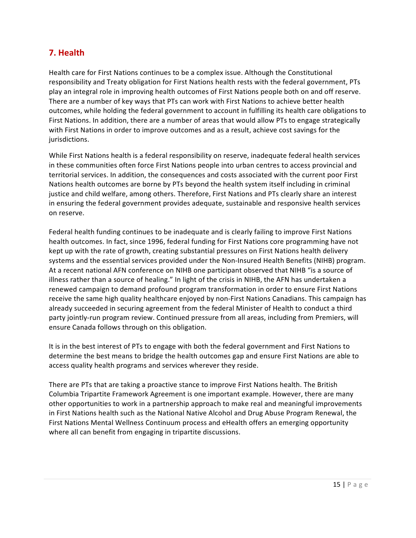# **7. Health**

Health care for First Nations continues to be a complex issue. Although the Constitutional responsibility and Treaty obligation for First Nations health rests with the federal government, PTs play an integral role in improving health outcomes of First Nations people both on and off reserve. There are a number of key ways that PTs can work with First Nations to achieve better health outcomes, while holding the federal government to account in fulfilling its health care obligations to First Nations. In addition, there are a number of areas that would allow PTs to engage strategically with First Nations in order to improve outcomes and as a result, achieve cost savings for the jurisdictions.

While First Nations health is a federal responsibility on reserve, inadequate federal health services in these communities often force First Nations people into urban centres to access provincial and territorial services. In addition, the consequences and costs associated with the current poor First Nations health outcomes are borne by PTs beyond the health system itself including in criminal justice and child welfare, among others. Therefore, First Nations and PTs clearly share an interest in ensuring the federal government provides adequate, sustainable and responsive health services on reserve.

Federal health funding continues to be inadequate and is clearly failing to improve First Nations health outcomes. In fact, since 1996, federal funding for First Nations core programming have not kept up with the rate of growth, creating substantial pressures on First Nations health delivery systems and the essential services provided under the Non-Insured Health Benefits (NIHB) program. At a recent national AFN conference on NIHB one participant observed that NIHB "is a source of illness rather than a source of healing." In light of the crisis in NIHB, the AFN has undertaken a renewed campaign to demand profound program transformation in order to ensure First Nations" receive the same high quality healthcare enjoyed by non-First Nations Canadians. This campaign has already succeeded in securing agreement from the federal Minister of Health to conduct a third party jointly-run program review. Continued pressure from all areas, including from Premiers, will ensure Canada follows through on this obligation.

It is in the best interest of PTs to engage with both the federal government and First Nations to determine the best means to bridge the health outcomes gap and ensure First Nations are able to access quality health programs and services wherever they reside.

There are PTs that are taking a proactive stance to improve First Nations health. The British Columbia Tripartite Framework Agreement is one important example. However, there are many other opportunities to work in a partnership approach to make real and meaningful improvements in First Nations health such as the National Native Alcohol and Drug Abuse Program Renewal, the First Nations Mental Wellness Continuum process and eHealth offers an emerging opportunity where all can benefit from engaging in tripartite discussions.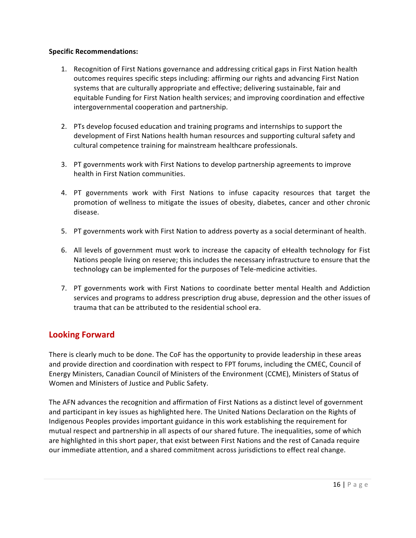#### **Specific Recommendations:**

- 1. Recognition of First Nations governance and addressing critical gaps in First Nation health outcomes requires specific steps including: affirming our rights and advancing First Nation systems that are culturally appropriate and effective; delivering sustainable, fair and equitable Funding for First Nation health services; and improving coordination and effective intergovernmental cooperation and partnership.
- 2. PTs develop focused education and training programs and internships to support the development of First Nations health human resources and supporting cultural safety and cultural competence training for mainstream healthcare professionals.
- 3. PT governments work with First Nations to develop partnership agreements to improve health in First Nation communities.
- 4. PT governments work with First Nations to infuse capacity resources that target the promotion of wellness to mitigate the issues of obesity, diabetes, cancer and other chronic disease.
- 5. PT governments work with First Nation to address poverty as a social determinant of health.
- 6. All levels of government must work to increase the capacity of eHealth technology for Fist Nations people living on reserve; this includes the necessary infrastructure to ensure that the technology can be implemented for the purposes of Tele-medicine activities.
- 7. PT governments work with First Nations to coordinate better mental Health and Addiction services and programs to address prescription drug abuse, depression and the other issues of trauma that can be attributed to the residential school era.

# **Looking Forward**

There is clearly much to be done. The CoF has the opportunity to provide leadership in these areas and provide direction and coordination with respect to FPT forums, including the CMEC, Council of Energy Ministers, Canadian Council of Ministers of the Environment (CCME), Ministers of Status of Women and Ministers of Justice and Public Safety.

The AFN advances the recognition and affirmation of First Nations as a distinct level of government and participant in key issues as highlighted here. The United Nations Declaration on the Rights of Indigenous Peoples provides important guidance in this work establishing the requirement for mutual respect and partnership in all aspects of our shared future. The inequalities, some of which are highlighted in this short paper, that exist between First Nations and the rest of Canada require our immediate attention, and a shared commitment across jurisdictions to effect real change.